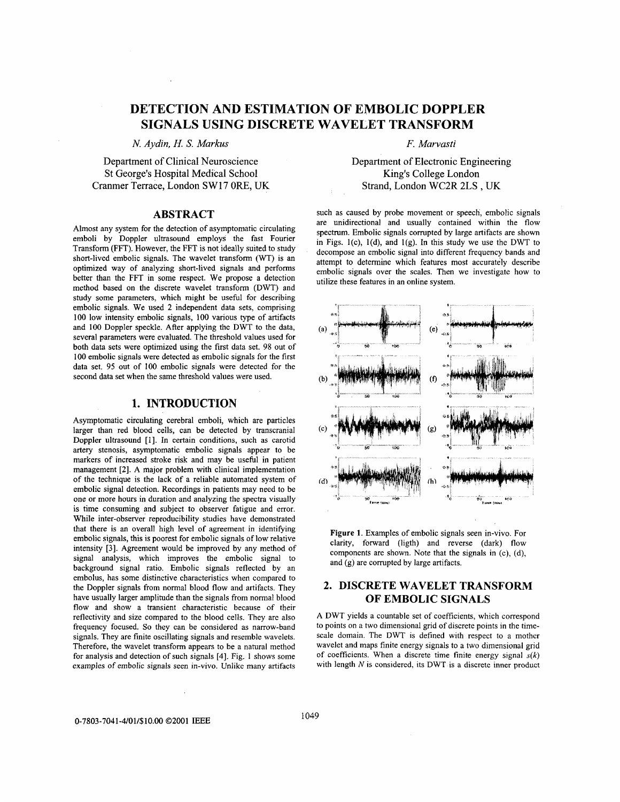# **DETECTION AND ESTIMATION OF EMBOLIC DOPPLER SIGNALS USING DISCRETE WAVELET TRANSFORM**

*N. Aydin, H. S. Markus* 

Department of Clinical Neuroscience St George's Hospital Medical School Cranmer Terrace, London SW **17** ORE, UK

#### **ABSTRACT**

Almost any system for the detection of asymptomatic circulating emboli by Doppler ultrasound employs the fast Fourier Transform (FFT). However, the FFT is not ideally suited to study short-lived embolic signals. The wavelet transform (WT) is an optimized way of analyzing short-lived signals and performs better than the FFT in some respect. We propose a detection method based on the discrete wavelet transform (DWT) and study some parameters, which might be useful for describing embolic signals. We used 2 independent data sets, comprising 100 low intensity embolic signals, 100 various type of artifacts and 100 Doppler speckle. After applying the DWT to the data, several parameters were evaluated. The threshold values used for both data sets were optimized using the first data set. 98 out of 100 embolic signals were detected as embolic signals for the first data set. 95 out of 100 embolic signals were detected for the second data set when the same threshold values were used.

## **1. INTRODUCTION**

Asymptomatic circulating cerebral emboli, which are particles larger than red blood cells, can be detected by transcranial Doppler ultrasound [l]. In certain conditions, such as carotid artery stenosis, asymptomatic embolic signals appear to be markers of increased stroke risk and may be usehl in patient management [2]. A major problem with clinical implementation of the technique is the lack of a reliable automated system of embolic signal detection. Recordings in patients may need to be one or more hours in duration and analyzing the spectra visually is time consuming and subject to observer fatigue and error. While inter-observer reproducibility studies have demonstrated that there is an overall high level of agreement in identifying embolic signals, this is poorest for embolic signals of low relative intensity [3]. Agreement would be improved by any method of signal analysis, which improves the embolic signal to background signal ratio. Embolic signals reflected by an embolus, has some distinctive characteristics when compared to the Doppler signals from normal blood flow and artifacts. They have usually larger amplitude than the signals from normal blood flow and show a transient characteristic because of their reflectivity and size compared to the blood cells. They are also frequency focused. *So* they can be considered as narrow-band signals. They are finite oscillating signals and resemble wavelets. Therefore, the wavelet transform appears to be a natural method for analysis and detection of such signals **[4].** Fig. 1 shows some examples of embolic signals seen in-vivo. Unlike many artifacts

*F. Mawasti* 

Department of Electronic Engineering King's College London Strand, London WC2R 2LS , UK

such as caused by probe movement or speech, embolic signals are unidirectional and usually contained within the flow spectrum. Embolic signals corrupted by large artifacts are shown in Figs.  $1(c)$ ,  $1(d)$ , and  $1(g)$ . In this study we use the DWT to decompose an embolic signal into different frequency bands and attempt to determine which features most accurately describe embolic signals over the scales. Then we investigate how to utilize these features in an online system.



**Figure 1.** Examples of embolic signals seen in-vivo. For clarity, forward (ligth) and reverse (dark) flow components are shown. Note that the signals in (c), (d), and  $(g)$  are corrupted by large artifacts.

# **2. DISCRETE WAVELET TRANSFORM OF EMBOLIC SIGNALS**

A DWT yields a countable set of coefficients, which correspond to points on a two dimensional grid of discrete points in the timescale domain. The DWT is defined with respect to a mother wavelet and maps finite energy signals to a two dimensional grid of coefficients. When a discrete time finite energy signal  $s(k)$ with length *N* is considered, its DWT **is** a discrete inner product

**0-7803-7041-4/01/\$10.00 ©2001 IEEE** 1049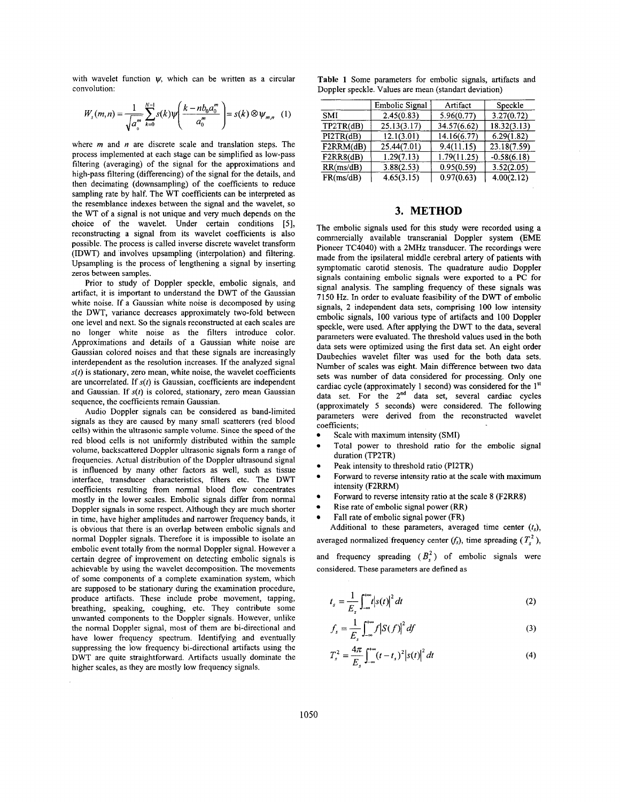<span id="page-1-0"></span>with wavelet function  $\psi$ , which can be written as a circular convolution:

$$
W_s(m,n) = \frac{1}{\sqrt{a_0^m}} \sum_{k=0}^{N-1} s(k) \psi\left(\frac{k - nb_0 a_0^m}{a_0^m}\right) = s(k) \otimes \psi_{m,n} \quad (1)
$$

where *m* and *n* are discrete scale and translation steps. The process implemented at each stage can be simplified as low-pass filtering (averaging) of the signal for the approximations and high-pass filtering (differencing) of the signal for the details, and then decimating (downsampling) of the coefficients to reduce sampling rate by half. The WT coefficients can be interpreted as the resemblance indexes between the signal and the wavelet, so the WT of a signal is not unique and very much depends on the choice of the wavelet. Under certain conditions *[5],*  reconstructing a signal from its wavelet coefficients is also possible. The process is called inverse discrete wavelet transform (IDWT) and involves upsampling (interpolation) and filtering. Upsampling is the process of lengthening a signal by inserting zeros between samples.

Prior to study of Doppler speckle, embolic signals, and artifact, it is important to understand the DWT of the Gaussian white noise. If a Gaussian white noise is decomposed by using the DWT, variance decreases approximately two-fold between one level and next. *So* the signals reconstructed at each scales are no longer white noise as the filters introduce color. Approximations and details of a Gaussian white noise are Gaussian colored noises and that these signals are increasingly interdependent as the resolution increases. If the analyzed signal  $s(t)$  is stationary, zero mean, white noise, the wavelet coefficients are uncorrelated. If *s(t)* is Gaussian, coefficients are independent and Gaussian. If *s(t)* is colored, stationary, zero mean Gaussian sequence, the coefficients remain Gaussian.

Audio Doppler signals can be considered as band-limited signals as they are caused by many small scatterers (red blood cells) within the ultrasonic sample volume. Since the speed **of** the red blood cells is not uniformly distributed within the sample volume, backscattered Doppler ultrasonic signals form a range of frequencies. Actual distribution of the Doppler ultrasound signal is influenced by many other factors as well, such as tissue interface, transducer characteristics, filters etc. The DWT coefficients resulting from normal blood flow concentrates mostly in the lower scales. Embolic signals differ from normal Doppler signals in some respect. Although they are much shorter in time, have higher amplitudes and narrower frequency bands, it is obvious that there is an overlap between embolic signals and normal Doppler signals. Therefore it is impossible to isolate an embolic event totally from the normal Doppler signal. However a certain degree of improvement on detecting embolic signals is achievable by using the wavelet decomposition. The movements of some components of a complete examination system, which are supposed to be stationary during the examination procedure, produce artifacts. These include probe movement, tapping, breathing, speaking, coughing, etc. They contribute some unwanted components to the Doppler signals. However, unlike the normal Doppler signal, most of them are bi-directional and have lower frequency spectrum. Identifying and eventually suppressing the low frequency bi-directional artifacts using the DWT are quite straightforward. Artifacts usually dominate the higher scales, as they are mostly low frequency signals.

**Table 1** Some parameters for embolic signals, artifacts and Doppler speckle. Values are mean (standart deviation)

|            | <b>Embolic Signal</b> | Artifact    | Speckle       |
|------------|-----------------------|-------------|---------------|
| <b>SMI</b> | 2.45(0.83)            | 5.96(0.77)  | 3.27(0.72)    |
| TP2TR(dB)  | 25.13(3.17)           | 34.57(6.62) | 18.32(3.13)   |
| PI2TR(dB)  | 12.1(3.01)            | 14.16(6.77) | 6.29(1.82)    |
| F2RRM(dB)  | 25.44(7.01)           | 9.4(11.15)  | 23.18(7.59)   |
| F2RR8(dB)  | 1.29(7.13)            | 1.79(11.25) | $-0.58(6.18)$ |
| RR(ms/dB)  | 3.88(2.53)            | 0.95(0.59)  | 3.52(2.05)    |
| FR(ms/dB)  | 4.65(3.15)            | 0.97(0.63)  | 4.00(2.12)    |

#### **3. METHOD**

The embolic signals used for this study were recorded using a commercially available transcranial Doppler system (EME Pioneer TC4040) with a 2MHz transducer. The recordings were made from the ipsilateral middle cerebral artery of patients with symptomatic carotid stenosis. The quadrature audio Doppler signals containing embolic signals were exported to a PC for signal analysis. The sampling frequency of these signals was 7150 Hz. In order to evaluate feasibility of the DWT of embolic signals, 2 independent data sets, comprising 100 low intensity embolic signals, 100 various type of artifacts and 100 Doppler speckle, were used. After applying the DWT to the data, several parameters were evaluated. The threshold values used in the both data sets were optimized using the first data set. An eight order Daubechies wavelet filter was used for the both data sets. Number of scales was eight. Main difference between two data sets was number of data considered for processing. Only one cardiac cycle (approximately 1 second) was considered for the 1<sup>st</sup> data set. For the 2<sup>nd</sup> data set, several cardiac cycles (approximately 5 seconds) were considered. The following parameters were derived from the reconstructed wavelet coefficients;

- Scale with maximum intensity (SMI)
- Total power to threshold ratio for the embolic signal duration (TP2TR)
- Peak intensity to threshold ratio (PI2TR)
- Forward to reverse intensity ratio at the scale with maximum intensity (F2RRM)
- Forward to reverse intensity ratio at the scale 8 (F2RR8)
- Rise rate of embolic signal power (RR)

Additional to these parameters, averaged time center  $(t<sub>s</sub>)$ , averaged normalized frequency center  $(f_s)$ , time spreading  $(T_s^2)$ , Fall rate of embolic signal power (FR)

and frequency spreading  $(B_s^2)$  of embolic signals were considered. These parameters are defined as

$$
t_s = \frac{1}{E_s} \int_{-\infty}^{+\infty} t |s(t)|^2 dt
$$
 (2)

$$
f_s = \frac{1}{E_s} \int_{-\infty}^{+\infty} f \left| S(f) \right|^2 df \tag{3}
$$

$$
T_s^2 = \frac{4\pi}{E_s} \int_{-\infty}^{+\infty} (t - t_s)^2 |s(t)|^2 dt
$$
 (4)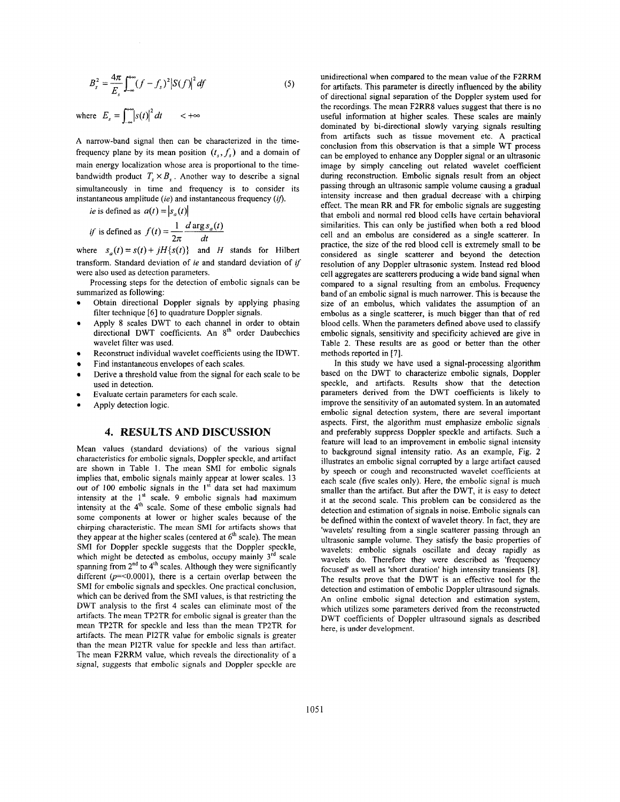$$
B_s^2 = \frac{4\pi}{E_s} \int_{-\infty}^{+\infty} (f - f_s)^2 |S(f)|^2 df
$$
 (5)

where  $E_s = \int_{0}^{+\infty} |s(t)|^2 dt$  <  $+\infty$ 

A narrow-band signal then can be characterized in the timefrequency plane by its mean position  $(t, f)$  and a domain of main energy localization whose area is proportional to the timebandwidth product  $T_{s} \times B_{s}$ . Another way to describe a signal simultaneously in time and frequency is to consider its instantaneous amplitude *(ie)* and instantaneous frequency *(if)*.

*intance (i.e.) and insaturated  
 *is* defined as 
$$
a(t) = |s_a(t)|
$$
  
 *if* is defined as  $f(t) = \frac{1}{2\pi} \frac{d \arg s_a(t)}{dt}$* 

where  $s_a(t) = s(t) + iH\{s(t)\}\$  and *H* stands for Hilbert transform. Standard deviation of *ie* and standard deviation of *if* were also used as detection parameters.

Processing steps for the detection of embolic signals can be summarized as following:

- Obtain directional Doppler signals by applying phasing filter technique [6] to quadrature Doppler signals.
- Apply 8 scales DWT to each channel in order to obtain directional DWT coefficients. An 8<sup>th</sup> order Daubechies wavelet filter was used.
- Reconstruct individual wavelet coefficients using the IDWT.
- Find instantaneous envelopes of each scales.
- Derive a threshold value from the signal for each scale to be used in detection.
- Evaluate certain parameters for each scale.
- Apply detection logic.

### **4. RESULTS AND DISCUSSION**

Mean values (standard deviations) of the various signal characteristics for embolic signals, Doppler speckle, and artifact are shown in [Table](#page-1-0) [1.](#page-1-0) The mean SMI for embolic signals implies that, embolic signals mainly appear at lower scales. 13 out of 100 embolic signals in the **1''** data set had maximum intensity at the 1<sup>st</sup> scale. 9 embolic signals had maximum intensity at the 4'h scale. Some of these embolic signals had some components at lower or higher scales because of the chirping characteristic. The mean SMI for artifacts shows that they appear at the higher scales (centered at  $6<sup>th</sup>$  scale). The mean SMI for Doppler speckle suggests that the Doppler speckle, which might be detected as embolus, occupy mainly 3<sup>rd</sup> scale spanning from  $2<sup>nd</sup>$  to  $4<sup>th</sup>$  scales. Although they were significantly different  $(p=<0.0001)$ , there is a certain overlap between the SMI for embolic signals and speckles. One practical conclusion, which can be derived from the SMI values, is that restricting the DWT analysis to the first 4 scales can eliminate most of the artifacts. The mean TP2TR for embolic signal is greater than the mean TP2TR for speckle and less than the mean TP2TR for artifacts. The mean PI2TR value for embolic signals is greater than the mean PUTR value for speckle and less than artifact. The mean F2RRM value, which reveals the directionality of a signal, suggests that embolic signals and Doppler speckle are unidirectional when compared to the mean value of the F2RRM for artifacts. This parameter is directly influenced by the ability of directional signal separation of the Doppler system used for the recordings. The mean F2RR8 values suggest that there is no useful information at higher scales. These scales are mainly dominated by bi-directional slowly varying signals resulting from artifacts such as tissue movement etc. A practical conclusion from this observation is that a simple WT process can be employed to enhance any Doppler signal or an ultrasonic image by simply canceling out related wavelet coefficient during reconstruction. Embolic signals result from an object passing through an ultrasonic sample volume causing a gradual intensity increase and then gradual decrease with a chirping effect. The mean RR and FR for embolic signals are suggesting that emboli and normal red blood cells have certain behavioral similarities. This can only be justified when both a red blood cell and an embolus are considered as a single scatterer. In practice, the size of the red blood cell is extremely small to be considered as single scatterer and beyond the detection resolution of any Doppler ultrasonic system. Instead red blood cell aggregates are scatterers producing a wide band signal when compared to a signal resulting from an embolus. Frequency band of an embolic signal is much narrower. This is because the size of an embolus, which validates the assumption of an embolus as a single scatterer, is much bigger than that of red blood cells. When the parameters defined above used to classify embolic signals, sensitivity and specificity achieved are give in Table **2.** These results are as good or better than the other methods reported in *[7].* 

In this study we have used a signal-processing algorithm based on the DWT to characterize embolic signals, Doppler speckle, and artifacts. Results show that the detection parameters derived from the DWT coefficients is likely to improve the sensitivity of an automated system. In an automated embolic signal detection system, there are several important aspects. First, the algorithm must emphasize embolic signals and preferably suppress Doppler speckle and artifacts. Such a feature will lead to an improvement in embolic signal intensity to background signal intensity ratio. As an example, Fig. 2 illustrates an embolic signal corrupted by a large artifact caused by speech or cough and reconstructed wavelet coefficients at each scale (five scales only). Here, the embolic signal is much smaller than the artifact. But after the DWT, it is easy to detect it at the second scale. This problem can be considered as the detection and estimation of signals in noise. Embolic signals can be defined within the context of wavelet theory. In fact, they are 'wavelets' resulting from a single scatterer passing through an ultrasonic sample volume. They satisfy the basic properties of wavelets: embolic signals oscillate and decay rapidly as wavelets do. Therefore they were described as 'frequency focused' as well as 'short duration' high intensity transients **181.**  The results prove that the DWT is an effective tool for the detection and estimation of embolic Doppler ultrasound signals. An online embolic signal detection and estimation system, which utilizes some parameters derived from the reconstructed DWT coefficients of Doppler ultrasound signals as described here, is under development.